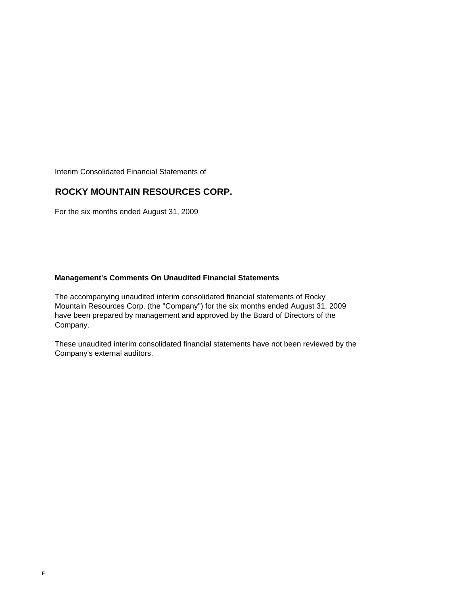Interim Consolidated Financial Statements of

# **ROCKY MOUNTAIN RESOURCES CORP.**

For the six months ended August 31, 2009

## **Management's Comments On Unaudited Financial Statements**

The accompanying unaudited interim consolidated financial statements of Rocky Mountain Resources Corp. (the "Company") for the six months ended August 31, 2009 have been prepared by management and approved by the Board of Directors of the Company.

These unaudited interim consolidated financial statements have not been reviewed by the Company's external auditors.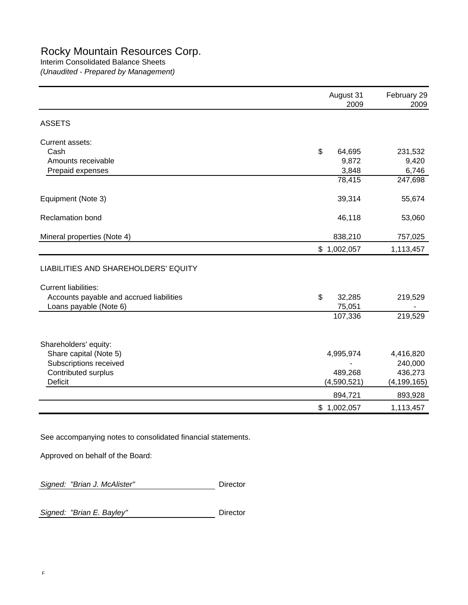# Rocky Mountain Resources Corp.

# Interim Consolidated Balance Sheets

*(Unaudited - Prepared by Management)*

|                                          | August 31<br>2009 | February 29<br>2009 |
|------------------------------------------|-------------------|---------------------|
| <b>ASSETS</b>                            |                   |                     |
| Current assets:                          |                   |                     |
| Cash                                     | \$<br>64,695      | 231,532             |
| Amounts receivable                       | 9,872             | 9,420               |
| Prepaid expenses                         | 3,848             | 6,746               |
|                                          | 78,415            | 247,698             |
| Equipment (Note 3)                       | 39,314            | 55,674              |
| <b>Reclamation bond</b>                  | 46,118            | 53,060              |
| Mineral properties (Note 4)              | 838,210           | 757,025             |
|                                          | \$1,002,057       | 1,113,457           |
| LIABILITIES AND SHAREHOLDERS' EQUITY     |                   |                     |
| <b>Current liabilities:</b>              |                   |                     |
| Accounts payable and accrued liabilities | \$<br>32,285      | 219,529             |
| Loans payable (Note 6)                   | 75,051            |                     |
|                                          | 107,336           | 219,529             |
| Shareholders' equity:                    |                   |                     |
| Share capital (Note 5)                   | 4,995,974         | 4,416,820           |
| Subscriptions received                   |                   | 240,000             |
| Contributed surplus                      | 489,268           | 436,273             |
| Deficit                                  | (4,590,521)       | (4, 199, 165)       |
|                                          | 894,721           | 893,928             |
|                                          | \$1,002,057       | 1,113,457           |

See accompanying notes to consolidated financial statements.

Approved on behalf of the Board:

**Signed: "Brian J. McAlister"** Director

Signed: "Brian E. Bayley" **Director**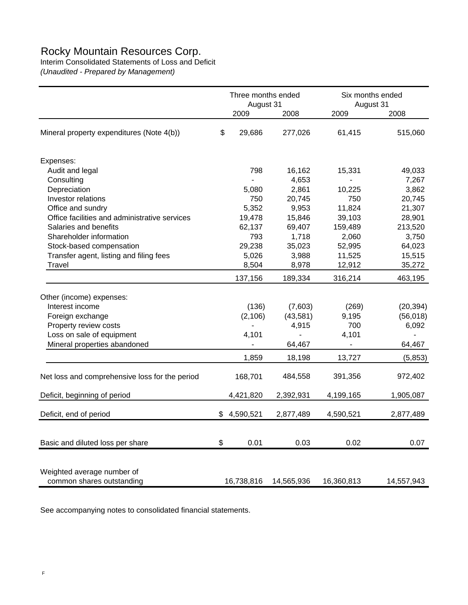# Rocky Mountain Resources Corp.

Interim Consolidated Statements of Loss and Deficit

*(Unaudited - Prepared by Management)*

|                                                | Three months ended<br>August 31 |            |            | Six months ended<br>August 31 |            |
|------------------------------------------------|---------------------------------|------------|------------|-------------------------------|------------|
|                                                |                                 | 2009       | 2008       | 2009                          | 2008       |
| Mineral property expenditures (Note 4(b))      | \$                              | 29,686     | 277,026    | 61,415                        | 515,060    |
| Expenses:                                      |                                 |            |            |                               |            |
| Audit and legal                                |                                 | 798        | 16,162     | 15,331                        | 49,033     |
| Consulting                                     |                                 |            | 4,653      |                               | 7,267      |
| Depreciation                                   |                                 | 5,080      | 2,861      | 10,225                        | 3,862      |
| Investor relations                             |                                 | 750        | 20,745     | 750                           | 20,745     |
| Office and sundry                              |                                 | 5,352      | 9,953      | 11,824                        | 21,307     |
| Office facilities and administrative services  |                                 | 19,478     | 15,846     | 39,103                        | 28,901     |
| Salaries and benefits                          |                                 | 62,137     | 69,407     | 159,489                       | 213,520    |
| Shareholder information                        |                                 | 793        | 1,718      | 2,060                         | 3,750      |
| Stock-based compensation                       |                                 | 29,238     | 35,023     | 52,995                        | 64,023     |
| Transfer agent, listing and filing fees        |                                 | 5,026      | 3,988      | 11,525                        | 15,515     |
| Travel                                         |                                 | 8,504      | 8,978      | 12,912                        | 35,272     |
|                                                |                                 | 137,156    | 189,334    | 316,214                       | 463,195    |
| Other (income) expenses:                       |                                 |            |            |                               |            |
| Interest income                                |                                 | (136)      | (7,603)    | (269)                         | (20, 394)  |
| Foreign exchange                               |                                 | (2, 106)   | (43,581)   | 9,195                         | (56, 018)  |
| Property review costs                          |                                 |            | 4,915      | 700                           | 6,092      |
| Loss on sale of equipment                      |                                 | 4,101      |            | 4,101                         |            |
| Mineral properties abandoned                   |                                 |            | 64,467     |                               | 64,467     |
|                                                |                                 | 1,859      | 18,198     | 13,727                        | (5,853)    |
| Net loss and comprehensive loss for the period |                                 | 168,701    | 484,558    | 391,356                       | 972,402    |
| Deficit, beginning of period                   |                                 | 4,421,820  | 2,392,931  | 4,199,165                     | 1,905,087  |
| Deficit, end of period                         | \$                              | 4,590,521  | 2,877,489  | 4,590,521                     | 2,877,489  |
|                                                |                                 |            |            |                               |            |
| Basic and diluted loss per share               | \$                              | 0.01       | 0.03       | 0.02                          | 0.07       |
| Weighted average number of                     |                                 |            |            |                               |            |
| common shares outstanding                      |                                 | 16,738,816 | 14,565,936 | 16,360,813                    | 14,557,943 |

See accompanying notes to consolidated financial statements.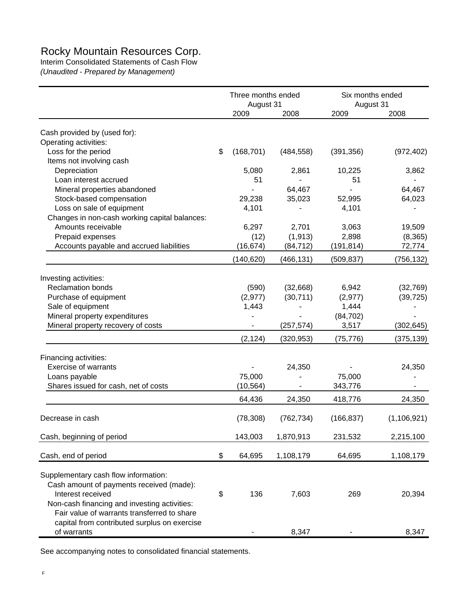# Rocky Mountain Resources Corp.

## Interim Consolidated Statements of Cash Flow

*(Unaudited - Prepared by Management)*

|                                                                                                                  | Three months ended<br>August 31 |                   | Six months ended<br>August 31 |                    |
|------------------------------------------------------------------------------------------------------------------|---------------------------------|-------------------|-------------------------------|--------------------|
|                                                                                                                  | 2009                            | 2008              | 2009                          | 2008               |
| Cash provided by (used for):<br>Operating activities:                                                            |                                 |                   |                               |                    |
| Loss for the period<br>Items not involving cash                                                                  | \$<br>(168, 701)                | (484, 558)        | (391, 356)                    | (972, 402)         |
| Depreciation<br>Loan interest accrued                                                                            | 5,080<br>51                     | 2,861             | 10,225<br>51                  | 3,862              |
| Mineral properties abandoned                                                                                     |                                 | 64,467            |                               | 64,467             |
| Stock-based compensation<br>Loss on sale of equipment<br>Changes in non-cash working capital balances:           | 29,238<br>4,101                 | 35,023            | 52,995<br>4,101               | 64,023             |
| Amounts receivable<br>Prepaid expenses                                                                           | 6,297<br>(12)                   | 2,701<br>(1, 913) | 3,063<br>2,898                | 19,509<br>(8, 365) |
| Accounts payable and accrued liabilities                                                                         | (16, 674)                       | (84, 712)         | (191, 814)                    | 72,774             |
|                                                                                                                  | (140, 620)                      | (466, 131)        | (509, 837)                    | (756, 132)         |
| Investing activities:                                                                                            |                                 |                   |                               |                    |
| <b>Reclamation bonds</b>                                                                                         | (590)                           | (32,668)          | 6,942                         | (32, 769)          |
| Purchase of equipment                                                                                            | (2, 977)                        | (30, 711)         | (2, 977)                      | (39, 725)          |
| Sale of equipment                                                                                                | 1,443                           |                   | 1,444                         |                    |
| Mineral property expenditures                                                                                    |                                 |                   | (84, 702)                     |                    |
| Mineral property recovery of costs                                                                               |                                 | (257, 574)        | 3,517                         | (302, 645)         |
|                                                                                                                  | (2, 124)                        | (320, 953)        | (75, 776)                     | (375, 139)         |
| Financing activities:                                                                                            |                                 |                   |                               |                    |
| <b>Exercise of warrants</b>                                                                                      |                                 | 24,350            |                               | 24,350             |
| Loans payable                                                                                                    | 75,000                          |                   | 75,000                        |                    |
| Shares issued for cash, net of costs                                                                             | (10, 564)                       |                   | 343,776                       |                    |
|                                                                                                                  | 64,436                          | 24,350            | 418,776                       | 24,350             |
| Decrease in cash                                                                                                 | (78, 308)                       | (762, 734)        | (166, 837)                    | (1, 106, 921)      |
| Cash, beginning of period                                                                                        | 143,003                         | 1,870,913         | 231,532                       | 2,215,100          |
| Cash, end of period                                                                                              | \$<br>64,695                    | 1,108,179         | 64,695                        | 1,108,179          |
| Supplementary cash flow information:<br>Cash amount of payments received (made):                                 |                                 |                   |                               |                    |
| Interest received<br>Non-cash financing and investing activities:<br>Fair value of warrants transferred to share | \$<br>136                       | 7,603             | 269                           | 20,394             |
| capital from contributed surplus on exercise<br>of warrants                                                      |                                 | 8,347             |                               | 8,347              |

See accompanying notes to consolidated financial statements.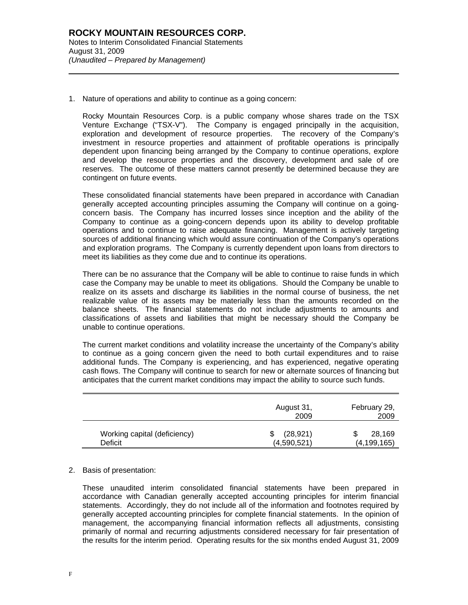l

1. Nature of operations and ability to continue as a going concern:

Rocky Mountain Resources Corp. is a public company whose shares trade on the TSX Venture Exchange ("TSX-V"). The Company is engaged principally in the acquisition, exploration and development of resource properties. The recovery of the Company's investment in resource properties and attainment of profitable operations is principally dependent upon financing being arranged by the Company to continue operations, explore and develop the resource properties and the discovery, development and sale of ore reserves. The outcome of these matters cannot presently be determined because they are contingent on future events.

These consolidated financial statements have been prepared in accordance with Canadian generally accepted accounting principles assuming the Company will continue on a goingconcern basis. The Company has incurred losses since inception and the ability of the Company to continue as a going-concern depends upon its ability to develop profitable operations and to continue to raise adequate financing. Management is actively targeting sources of additional financing which would assure continuation of the Company's operations and exploration programs. The Company is currently dependent upon loans from directors to meet its liabilities as they come due and to continue its operations.

There can be no assurance that the Company will be able to continue to raise funds in which case the Company may be unable to meet its obligations. Should the Company be unable to realize on its assets and discharge its liabilities in the normal course of business, the net realizable value of its assets may be materially less than the amounts recorded on the balance sheets. The financial statements do not include adjustments to amounts and classifications of assets and liabilities that might be necessary should the Company be unable to continue operations.

The current market conditions and volatility increase the uncertainty of the Company's ability to continue as a going concern given the need to both curtail expenditures and to raise additional funds. The Company is experiencing, and has experienced, negative operating cash flows. The Company will continue to search for new or alternate sources of financing but anticipates that the current market conditions may impact the ability to source such funds.

|                              | August 31,<br>2009 | February 29,<br>2009 |
|------------------------------|--------------------|----------------------|
| Working capital (deficiency) | (28, 921)          | 28,169               |
| Deficit                      | (4,590,521)        | (4, 199, 165)        |

#### 2. Basis of presentation:

These unaudited interim consolidated financial statements have been prepared in accordance with Canadian generally accepted accounting principles for interim financial statements. Accordingly, they do not include all of the information and footnotes required by generally accepted accounting principles for complete financial statements. In the opinion of management, the accompanying financial information reflects all adjustments, consisting primarily of normal and recurring adjustments considered necessary for fair presentation of the results for the interim period. Operating results for the six months ended August 31, 2009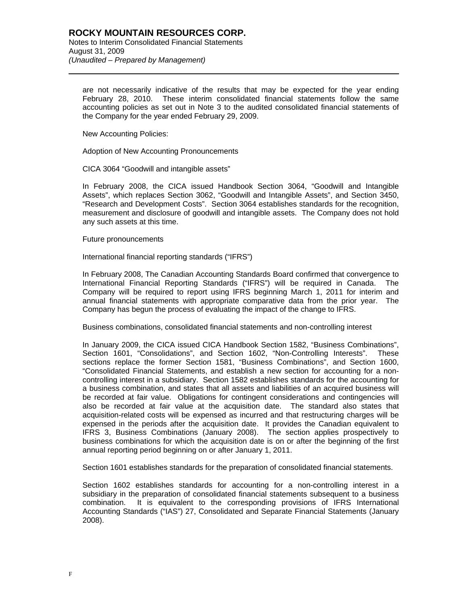are not necessarily indicative of the results that may be expected for the year ending February 28, 2010. These interim consolidated financial statements follow the same accounting policies as set out in Note 3 to the audited consolidated financial statements of the Company for the year ended February 29, 2009.

New Accounting Policies:

l

Adoption of New Accounting Pronouncements

CICA 3064 "Goodwill and intangible assets"

In February 2008, the CICA issued Handbook Section 3064, "Goodwill and Intangible Assets", which replaces Section 3062, "Goodwill and Intangible Assets", and Section 3450, "Research and Development Costs". Section 3064 establishes standards for the recognition, measurement and disclosure of goodwill and intangible assets. The Company does not hold any such assets at this time.

Future pronouncements

International financial reporting standards ("IFRS")

In February 2008, The Canadian Accounting Standards Board confirmed that convergence to International Financial Reporting Standards ("IFRS") will be required in Canada. The Company will be required to report using IFRS beginning March 1, 2011 for interim and annual financial statements with appropriate comparative data from the prior year. The Company has begun the process of evaluating the impact of the change to IFRS.

Business combinations, consolidated financial statements and non-controlling interest

In January 2009, the CICA issued CICA Handbook Section 1582, "Business Combinations", Section 1601, "Consolidations", and Section 1602, "Non-Controlling Interests". These sections replace the former Section 1581, "Business Combinations", and Section 1600, "Consolidated Financial Statements, and establish a new section for accounting for a noncontrolling interest in a subsidiary. Section 1582 establishes standards for the accounting for a business combination, and states that all assets and liabilities of an acquired business will be recorded at fair value. Obligations for contingent considerations and contingencies will also be recorded at fair value at the acquisition date. The standard also states that acquisition-related costs will be expensed as incurred and that restructuring charges will be expensed in the periods after the acquisition date. It provides the Canadian equivalent to IFRS 3, Business Combinations (January 2008). The section applies prospectively to business combinations for which the acquisition date is on or after the beginning of the first annual reporting period beginning on or after January 1, 2011.

Section 1601 establishes standards for the preparation of consolidated financial statements.

Section 1602 establishes standards for accounting for a non-controlling interest in a subsidiary in the preparation of consolidated financial statements subsequent to a business combination. It is equivalent to the corresponding provisions of IFRS International Accounting Standards ("IAS") 27, Consolidated and Separate Financial Statements (January 2008).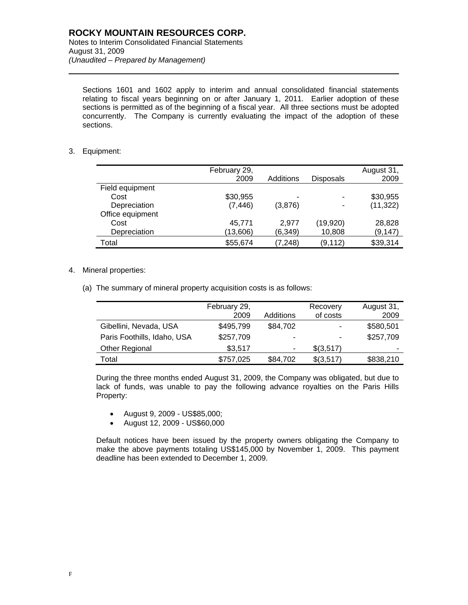Sections 1601 and 1602 apply to interim and annual consolidated financial statements relating to fiscal years beginning on or after January 1, 2011. Earlier adoption of these sections is permitted as of the beginning of a fiscal year. All three sections must be adopted concurrently. The Company is currently evaluating the impact of the adoption of these sections.

### 3. Equipment:

l

|                  | February 29,<br>2009 | Additions | <b>Disposals</b> | August 31,<br>2009 |
|------------------|----------------------|-----------|------------------|--------------------|
| Field equipment  |                      |           |                  |                    |
| Cost             | \$30,955             |           |                  | \$30,955           |
| Depreciation     | (7, 446)             | (3,876)   |                  | (11, 322)          |
| Office equipment |                      |           |                  |                    |
| Cost             | 45,771               | 2.977     | (19, 920)        | 28,828             |
| Depreciation     | (13,606)             | (6,349)   | 10,808           | (9, 147)           |
| Total            | \$55,674             | (7,248)   | (9,112)          | \$39,314           |

#### 4. Mineral properties:

(a) The summary of mineral property acquisition costs is as follows:

|                             | February 29, |           | Recovery  | August 31, |
|-----------------------------|--------------|-----------|-----------|------------|
|                             | 2009         | Additions | of costs  | 2009       |
| Gibellini, Nevada, USA      | \$495,799    | \$84,702  | ۰         | \$580,501  |
| Paris Foothills, Idaho, USA | \$257,709    |           |           | \$257,709  |
| Other Regional              | \$3,517      | ۰         | \$(3,517) |            |
| Total                       | \$757,025    | \$84,702  | \$(3,517) | \$838,210  |

During the three months ended August 31, 2009, the Company was obligated, but due to lack of funds, was unable to pay the following advance royalties on the Paris Hills Property:

- August 9, 2009 US\$85,000;
- August 12, 2009 US\$60,000

Default notices have been issued by the property owners obligating the Company to make the above payments totaling US\$145,000 by November 1, 2009. This payment deadline has been extended to December 1, 2009.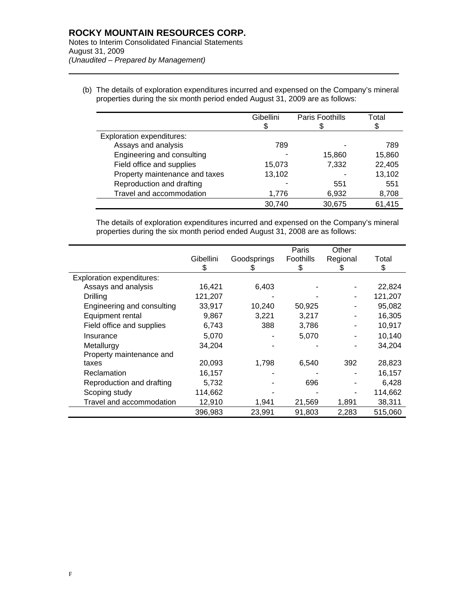l

(b) The details of exploration expenditures incurred and expensed on the Company's mineral properties during the six month period ended August 31, 2009 are as follows:

|                                  | Gibellini | Paris Foothills | Total  |
|----------------------------------|-----------|-----------------|--------|
| <b>Exploration expenditures:</b> |           |                 |        |
| Assays and analysis              | 789       |                 | 789    |
| Engineering and consulting       |           | 15,860          | 15,860 |
| Field office and supplies        | 15,073    | 7,332           | 22,405 |
| Property maintenance and taxes   | 13,102    |                 | 13,102 |
| Reproduction and drafting        |           | 551             | 551    |
| Travel and accommodation         | 1,776     | 6,932           | 8,708  |
|                                  | 30,740    | 30,675          | 61,415 |

The details of exploration expenditures incurred and expensed on the Company's mineral properties during the six month period ended August 31, 2008 are as follows:

|                                  |           |             | Paris            | Other    |         |
|----------------------------------|-----------|-------------|------------------|----------|---------|
|                                  | Gibellini | Goodsprings | <b>Foothills</b> | Regional | Total   |
|                                  | \$        | Ж           | \$               | Ж        | S       |
| <b>Exploration expenditures:</b> |           |             |                  |          |         |
| Assays and analysis              | 16,421    | 6,403       |                  |          | 22,824  |
| Drilling                         | 121,207   |             |                  |          | 121,207 |
| Engineering and consulting       | 33,917    | 10,240      | 50,925           |          | 95,082  |
| Equipment rental                 | 9,867     | 3,221       | 3,217            |          | 16,305  |
| Field office and supplies        | 6,743     | 388         | 3,786            |          | 10,917  |
| Insurance                        | 5,070     |             | 5,070            |          | 10,140  |
| Metallurgy                       | 34,204    |             |                  |          | 34,204  |
| Property maintenance and         |           |             |                  |          |         |
| taxes                            | 20,093    | 1,798       | 6,540            | 392      | 28,823  |
| Reclamation                      | 16,157    |             |                  |          | 16,157  |
| Reproduction and drafting        | 5,732     |             | 696              |          | 6,428   |
| Scoping study                    | 114,662   |             |                  |          | 114,662 |
| Travel and accommodation         | 12,910    | 1,941       | 21,569           | 1,891    | 38,311  |
|                                  | 396,983   | 23,991      | 91,803           | 2,283    | 515.060 |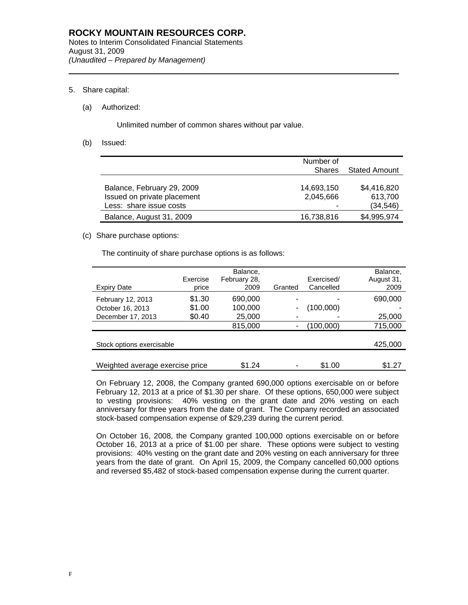### 5. Share capital:

l

#### (a) Authorized:

Unlimited number of common shares without par value.

(b) Issued:

|                                                                                      | Number of<br><b>Shares</b> | <b>Stated Amount</b>                |
|--------------------------------------------------------------------------------------|----------------------------|-------------------------------------|
| Balance, February 29, 2009<br>Issued on private placement<br>Less: share issue costs | 14,693,150<br>2.045.666    | \$4,416,820<br>613,700<br>(34, 546) |
| Balance, August 31, 2009                                                             | 16,738,816                 | \$4,995,974                         |

### (c) Share purchase options:

The continuity of share purchase options is as follows:

| <b>Expiry Date</b>                                         | Exercise<br>price          | Balance,<br>February 28,<br>2009 | Granted | Exercised/<br>Cancelled | Balance,<br>August 31,<br>2009 |
|------------------------------------------------------------|----------------------------|----------------------------------|---------|-------------------------|--------------------------------|
| February 12, 2013<br>October 16, 2013<br>December 17, 2013 | \$1.30<br>\$1.00<br>\$0.40 | 690,000<br>100,000<br>25,000     |         | (100,000)               | 690,000<br>25,000              |
|                                                            |                            | 815,000                          |         | (100,000)               | 715,000                        |
| Stock options exercisable                                  |                            |                                  |         |                         | 425,000                        |
| Weighted average exercise price                            |                            | \$1.24                           |         | \$1.00                  | \$1.27                         |

On February 12, 2008, the Company granted 690,000 options exercisable on or before February 12, 2013 at a price of \$1.30 per share. Of these options, 650,000 were subject to vesting provisions: 40% vesting on the grant date and 20% vesting on each anniversary for three years from the date of grant. The Company recorded an associated stock-based compensation expense of \$29,239 during the current period.

On October 16, 2008, the Company granted 100,000 options exercisable on or before October 16, 2013 at a price of \$1.00 per share. These options were subject to vesting provisions: 40% vesting on the grant date and 20% vesting on each anniversary for three years from the date of grant. On April 15, 2009, the Company cancelled 60,000 options and reversed \$5,482 of stock-based compensation expense during the current quarter.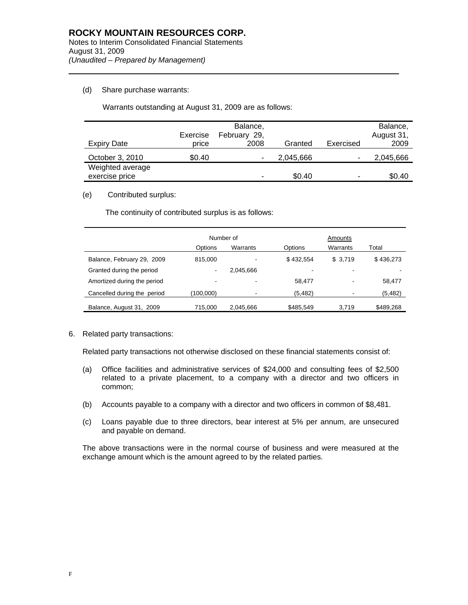### (d) Share purchase warrants:

l

Warrants outstanding at August 31, 2009 are as follows:

| <b>Expiry Date</b>                 | Exercise<br>price | Balance,<br>February 29,<br>2008 | Granted   | Exercised | Balance,<br>August 31,<br>2009 |
|------------------------------------|-------------------|----------------------------------|-----------|-----------|--------------------------------|
| October 3, 2010                    | \$0.40            |                                  | 2,045,666 | ۰         | 2,045,666                      |
| Weighted average<br>exercise price |                   | $\overline{\phantom{a}}$         | \$0.40    | ٠         | \$0.40                         |

#### (e) Contributed surplus:

The continuity of contributed surplus is as follows:

|                             |                | Number of |           | Amounts  |           |  |  |
|-----------------------------|----------------|-----------|-----------|----------|-----------|--|--|
|                             | Options        | Warrants  | Options   | Warrants | Total     |  |  |
| Balance, February 29, 2009  | 815,000        |           | \$432,554 | \$3,719  | \$436,273 |  |  |
| Granted during the period   | $\blacksquare$ | 2.045.666 |           | -        |           |  |  |
| Amortized during the period |                |           | 58.477    |          | 58.477    |  |  |
| Cancelled during the period | (100,000)      |           | (5, 482)  |          | (5, 482)  |  |  |
| Balance, August 31, 2009    | 715.000        | 2,045,666 | \$485,549 | 3.719    | \$489,268 |  |  |

#### 6. Related party transactions:

Related party transactions not otherwise disclosed on these financial statements consist of:

- (a) Office facilities and administrative services of \$24,000 and consulting fees of \$2,500 related to a private placement, to a company with a director and two officers in common;
- (b) Accounts payable to a company with a director and two officers in common of \$8,481.
- (c) Loans payable due to three directors, bear interest at 5% per annum, are unsecured and payable on demand.

The above transactions were in the normal course of business and were measured at the exchange amount which is the amount agreed to by the related parties.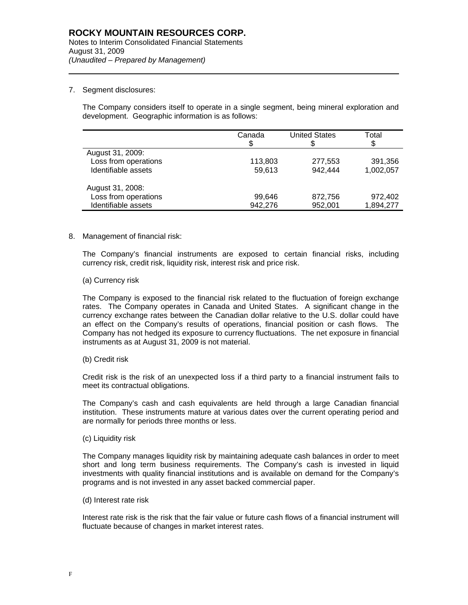#### 7. Segment disclosures:

l

The Company considers itself to operate in a single segment, being mineral exploration and development. Geographic information is as follows:

|                      | Canada<br>\$ | <b>United States</b><br>S | Total<br>\$ |
|----------------------|--------------|---------------------------|-------------|
| August 31, 2009:     |              |                           |             |
| Loss from operations | 113,803      | 277,553                   | 391,356     |
| Identifiable assets  | 59.613       | 942,444                   | 1,002,057   |
| August 31, 2008:     |              |                           |             |
| Loss from operations | 99,646       | 872,756                   | 972,402     |
| Identifiable assets  | 942.276      | 952,001                   | 1,894,277   |

#### 8. Management of financial risk:

The Company's financial instruments are exposed to certain financial risks, including currency risk, credit risk, liquidity risk, interest risk and price risk.

#### (a) Currency risk

The Company is exposed to the financial risk related to the fluctuation of foreign exchange rates. The Company operates in Canada and United States. A significant change in the currency exchange rates between the Canadian dollar relative to the U.S. dollar could have an effect on the Company's results of operations, financial position or cash flows. The Company has not hedged its exposure to currency fluctuations. The net exposure in financial instruments as at August 31, 2009 is not material.

#### (b) Credit risk

Credit risk is the risk of an unexpected loss if a third party to a financial instrument fails to meet its contractual obligations.

The Company's cash and cash equivalents are held through a large Canadian financial institution. These instruments mature at various dates over the current operating period and are normally for periods three months or less.

#### (c) Liquidity risk

The Company manages liquidity risk by maintaining adequate cash balances in order to meet short and long term business requirements. The Company's cash is invested in liquid investments with quality financial institutions and is available on demand for the Company's programs and is not invested in any asset backed commercial paper.

(d) Interest rate risk

Interest rate risk is the risk that the fair value or future cash flows of a financial instrument will fluctuate because of changes in market interest rates.